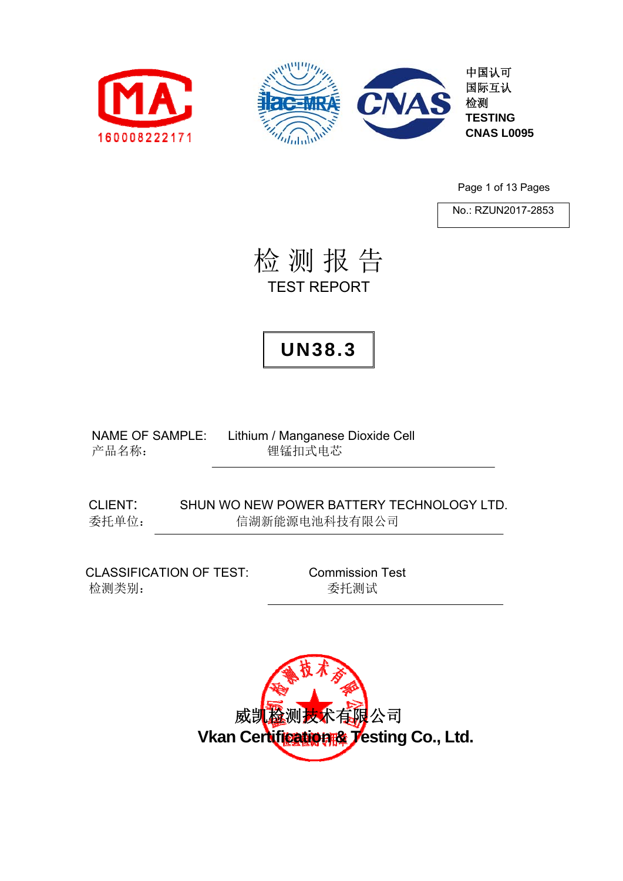



Page 1 of 13 Pages

No.: RZUN2017-2853

检 测 报 告 TEST REPORT

## **UN38.3**

NAME OF SAMPLE: Lithium / Manganese Dioxide Cell 产品名称: 李武 理锰扣式电芯

CLIENT: SHUN WO NEW POWER BATTERY TECHNOLOGY LTD. 委托单位: 信湖新能源电池科技有限公司

CLASSIFICATION OF TEST: Commission Test 检测类别: 委托测试

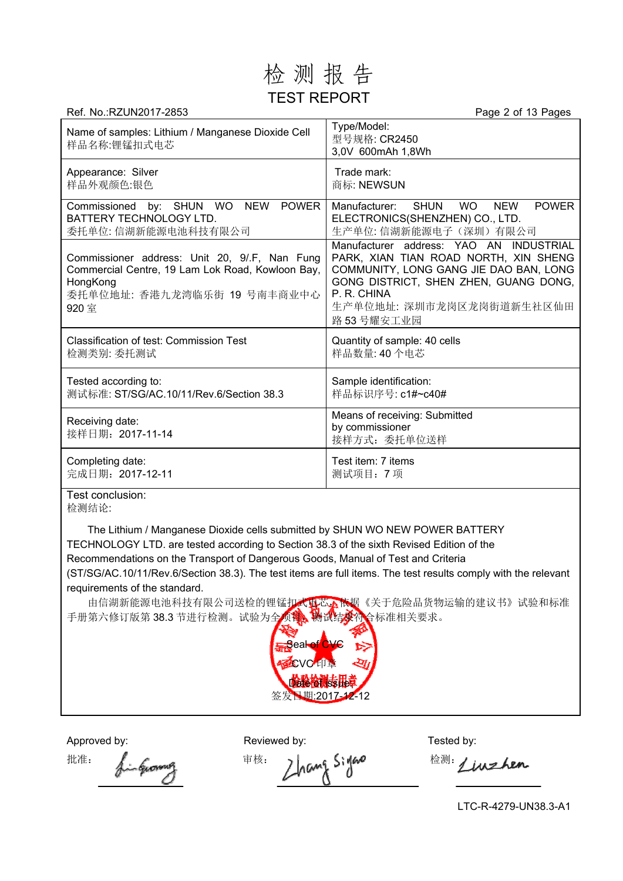### 检 测 报 告 TEST REPORT

| Ref. No.:RZUN2017-2853                                                                                                                                | Page 2 of 13 Pages                                                                                                                                                                                                           |
|-------------------------------------------------------------------------------------------------------------------------------------------------------|------------------------------------------------------------------------------------------------------------------------------------------------------------------------------------------------------------------------------|
| Name of samples: Lithium / Manganese Dioxide Cell<br>样品名称:锂锰扣式电芯                                                                                      | Type/Model:<br>型号规格: CR2450<br>3,0V 600mAh 1,8Wh                                                                                                                                                                             |
| Appearance: Silver<br>样品外观颜色:银色                                                                                                                       | Trade mark:<br>商标: NEWSUN                                                                                                                                                                                                    |
| Commissioned by: SHUN WO NEW<br><b>POWER</b><br>BATTERY TECHNOLOGY LTD.<br>委托单位: 信湖新能源电池科技有限公司                                                        | Manufacturer:<br><b>SHUN</b><br><b>WO</b><br><b>NEW</b><br><b>POWER</b><br>ELECTRONICS(SHENZHEN) CO., LTD.<br>生产单位: 信湖新能源电子(深圳)有限公司                                                                                          |
| Commissioner address: Unit 20, 9/.F, Nan Fung<br>Commercial Centre, 19 Lam Lok Road, Kowloon Bay,<br>HongKong<br>委托单位地址: 香港九龙湾临乐街 19 号南丰商业中心<br>920 室 | Manufacturer address: YAO AN INDUSTRIAL<br>PARK, XIAN TIAN ROAD NORTH, XIN SHENG<br>COMMUNITY, LONG GANG JIE DAO BAN, LONG<br>GONG DISTRICT, SHEN ZHEN, GUANG DONG,<br>P. R. CHINA<br>生产单位地址: 深圳市龙岗区龙岗街道新生社区仙田<br>路 53号耀安工业园 |
| <b>Classification of test: Commission Test</b><br>检测类别: 委托测试                                                                                          | Quantity of sample: 40 cells<br>样品数量: 40个电芯                                                                                                                                                                                  |
| Tested according to:<br>测试标准: ST/SG/AC.10/11/Rev.6/Section 38.3                                                                                       | Sample identification:<br>样品标识序号: c1#~c40#                                                                                                                                                                                   |
| Receiving date:<br>接样日期: 2017-11-14                                                                                                                   | Means of receiving: Submitted<br>by commissioner<br>接样方式: 委托单位送样                                                                                                                                                             |
| Completing date:<br>完成日期: 2017-12-11                                                                                                                  | Test item: 7 items<br>测试项目: 7项                                                                                                                                                                                               |

Test conclusion: 检测结论:

The Lithium / Manganese Dioxide cells submitted by SHUN WO NEW POWER BATTERY TECHNOLOGY LTD. are tested according to Section 38.3 of the sixth Revised Edition of the Recommendations on the Transport of Dangerous Goods, Manual of Test and Criteria (ST/SG/AC.10/11/Rev.6/Section 38.3). The test items are full items. The test results comply with the relevant requirements of the standard.

由信湖新能源电池科技有限公司送检的锂锰扣式电芯,依据《关于危险品货物运输的建议书》试验和标准 手册第六修订版第 38.3 节进行检测。试验为全项育、物试结果符合标准相关要求。



Approved by: Reviewed by: Reviewed by: Tested by:

批准: fingenomy 审核: Zhang Siyano 检测: Linzhen

LTC-R-4279-UN38.3-A1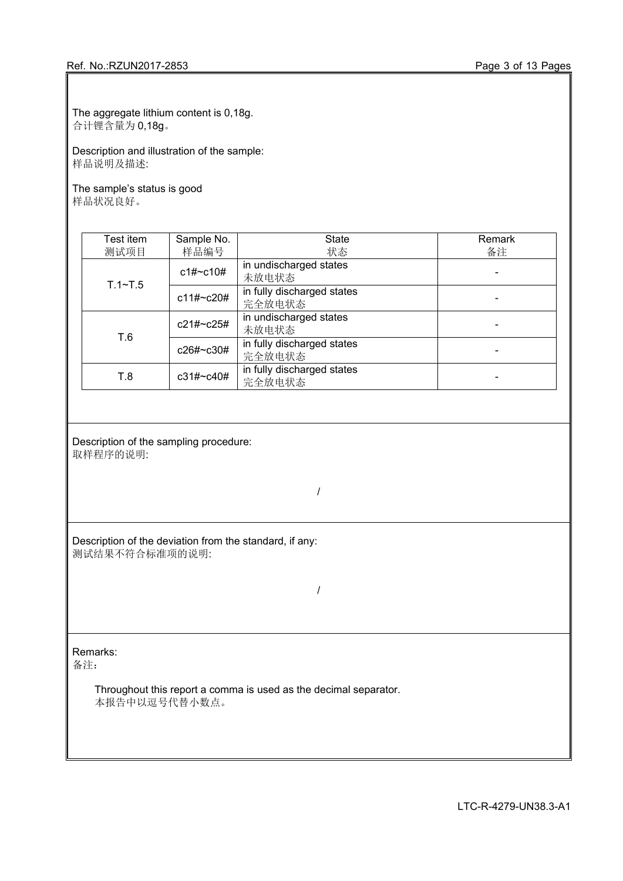The aggregate lithium content is 0,18g. 合计锂含量为 0,18g。

Description and illustration of the sample: 样品说明及描述:

The sample's status is good 样品状况良好。

| Test item   | Sample No.   | <b>State</b>                         | Remark |
|-------------|--------------|--------------------------------------|--------|
| 测试项目        | 样品编号         | 状态                                   | 备注     |
| $T.1 - T.5$ | c1#~c10#     | in undischarged states<br>未放电状态      |        |
|             | $c11\# C20#$ | in fully discharged states<br>完全放电状态 |        |
|             | $c21\#c25\#$ | in undischarged states<br>未放电状态      |        |
| T.6         | c26#~c30#    | in fully discharged states<br>完全放电状态 |        |
| T.8         | $c31\#C40\#$ | in fully discharged states<br>完全放电状态 |        |

Description of the sampling procedure: 取样程序的说明:

Description of the deviation from the standard, if any: 测试结果不符合标准项的说明:

/

/

Remarks:

备注:

Throughout this report a comma is used as the decimal separator. 本报告中以逗号代替小数点。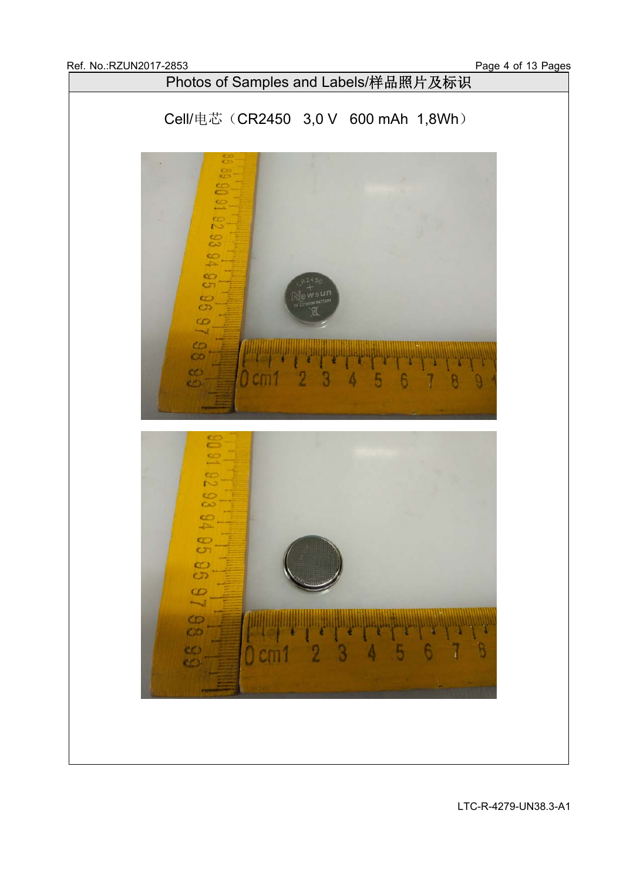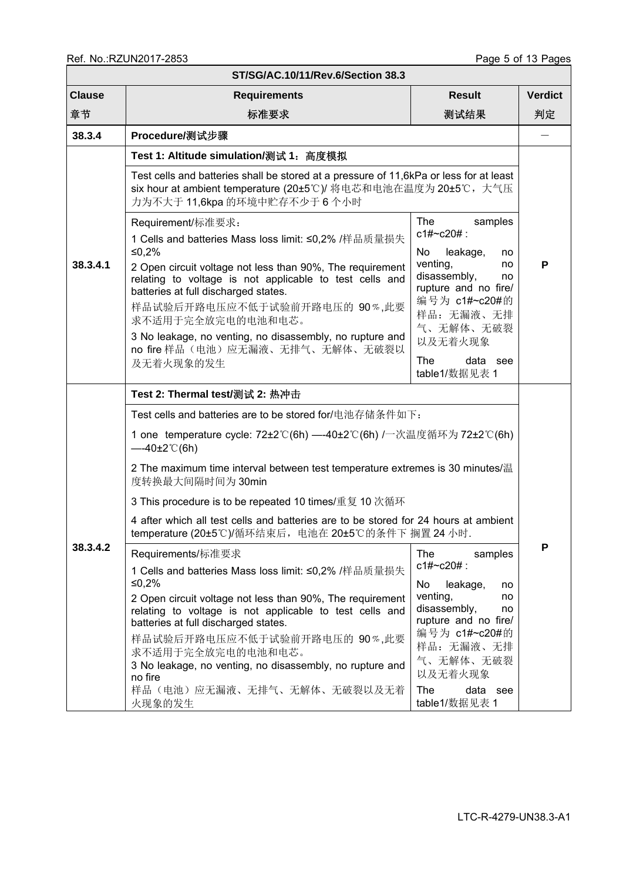|               | ST/SG/AC.10/11/Rev.6/Section 38.3                                                                                                                                                                                                                                                                                                                                                                                                                                                                                                                                                                                                                                                                                                                                                                                                                                                    |                                                                                                                                                                                |                |  |  |  |  |  |  |  |
|---------------|--------------------------------------------------------------------------------------------------------------------------------------------------------------------------------------------------------------------------------------------------------------------------------------------------------------------------------------------------------------------------------------------------------------------------------------------------------------------------------------------------------------------------------------------------------------------------------------------------------------------------------------------------------------------------------------------------------------------------------------------------------------------------------------------------------------------------------------------------------------------------------------|--------------------------------------------------------------------------------------------------------------------------------------------------------------------------------|----------------|--|--|--|--|--|--|--|
| <b>Clause</b> | <b>Requirements</b>                                                                                                                                                                                                                                                                                                                                                                                                                                                                                                                                                                                                                                                                                                                                                                                                                                                                  | <b>Result</b>                                                                                                                                                                  | <b>Verdict</b> |  |  |  |  |  |  |  |
| 章节            | 标准要求                                                                                                                                                                                                                                                                                                                                                                                                                                                                                                                                                                                                                                                                                                                                                                                                                                                                                 | 测试结果                                                                                                                                                                           | 判定             |  |  |  |  |  |  |  |
| 38.3.4        | Procedure/测试步骤                                                                                                                                                                                                                                                                                                                                                                                                                                                                                                                                                                                                                                                                                                                                                                                                                                                                       |                                                                                                                                                                                |                |  |  |  |  |  |  |  |
| 38.3.4.1      | Test 1: Altitude simulation/测试 1: 高度模拟<br>Test cells and batteries shall be stored at a pressure of 11,6kPa or less for at least<br>six hour at ambient temperature (20±5℃)/ 将电芯和电池在温度为 20±5℃, 大气压                                                                                                                                                                                                                                                                                                                                                                                                                                                                                                                                                                                                                                                                                   |                                                                                                                                                                                |                |  |  |  |  |  |  |  |
|               | 力为不大于 11,6kpa 的环境中贮存不少于 6 个小时<br><b>The</b><br>samples<br>Requirement/标准要求:<br>$c1#~c20#$ :<br>1 Cells and batteries Mass loss limit: ≤0,2% /样品质量损失<br>≤0,2%<br>No<br>leakage,<br>no<br>venting,<br>no<br>2 Open circuit voltage not less than 90%, The requirement<br>disassembly,<br>no<br>relating to voltage is not applicable to test cells and<br>rupture and no fire/<br>batteries at full discharged states.<br>编号为 c1#~c20#的<br>样品试验后开路电压应不低于试验前开路电压的 90%,此要<br>样品: 无漏液、无排<br>求不适用于完全放完电的电池和电芯。<br>气、无解体、无破裂<br>3 No leakage, no venting, no disassembly, no rupture and<br>以及无着火现象<br>no fire 样品(电池)应无漏液、无排气、无解体、无破裂以<br>The<br>data see<br>及无着火现象的发生<br>table1/数据见表 1                                                                                                                                                                                                     |                                                                                                                                                                                |                |  |  |  |  |  |  |  |
| 38.3.4.2      | Test 2: Thermal test/测试 2: 热冲击<br>Test cells and batteries are to be stored for/电池存储条件如下:<br>1 one temperature cycle: 72±2℃(6h) —-40±2℃(6h) /一次温度循环为 72±2℃(6h)<br>$-40\pm2^{\circ}$ (6h)<br>2 The maximum time interval between test temperature extremes is 30 minutes/温<br>度转换最大间隔时间为30min<br>3 This procedure is to be repeated 10 times/重复 10 次循环<br>4 after which all test cells and batteries are to be stored for 24 hours at ambient<br>temperature (20±5℃)/循环结束后, 电池在 20±5℃的条件下 搁置 24 小时.<br>Requirements/标准要求<br>1 Cells and batteries Mass loss limit: ≤0,2% /样品质量损失<br>≤0,2%<br>2 Open circuit voltage not less than 90%, The requirement<br>relating to voltage is not applicable to test cells and<br>batteries at full discharged states.<br>样品试验后开路电压应不低于试验前开路电压的 90%,此要<br>求不适用于完全放完电的电池和电芯。<br>3 No leakage, no venting, no disassembly, no rupture and<br>no fire | The<br>samples<br>$c1\#c20\#$ :<br>No<br>leakage,<br>no<br>venting,<br>no<br>disassembly,<br>no<br>rupture and no fire/<br>编号为 c1#~c20#的<br>样品: 无漏液、无排<br>气、无解体、无破裂<br>以及无着火现象 | P              |  |  |  |  |  |  |  |
|               | 样品(电池)应无漏液、无排气、无解体、无破裂以及无着<br>火现象的发生                                                                                                                                                                                                                                                                                                                                                                                                                                                                                                                                                                                                                                                                                                                                                                                                                                                 | The<br>data see<br>table1/数据见表 1                                                                                                                                               |                |  |  |  |  |  |  |  |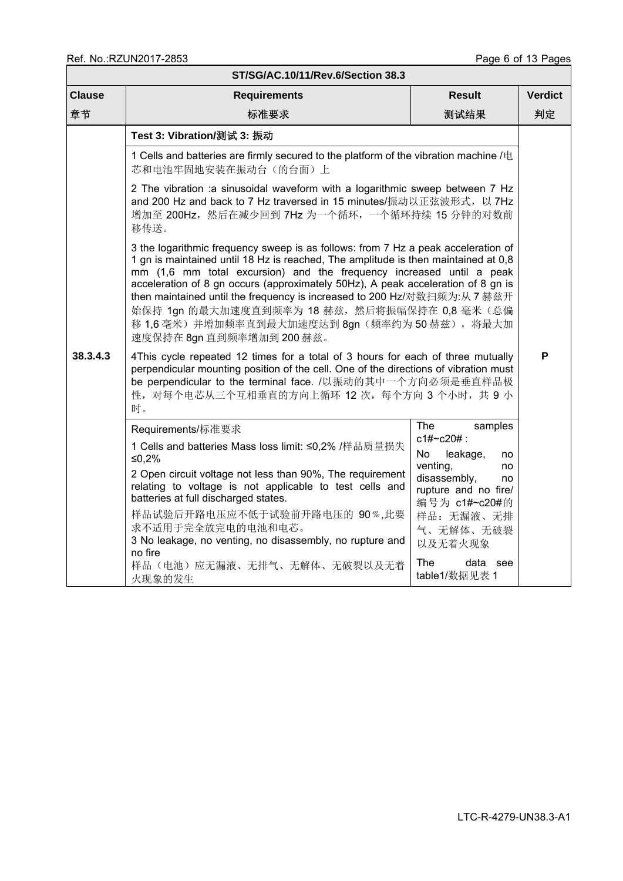| ST/SG/AC.10/11/Rev.6/Section 38.3 |                                                                                                                                                                                                                                                                                                                                                                                                                                                                                                                                                                                                                                                                                                                                                                                                                                                                                                                 |                                                                                                                                                                                                                |                |  |  |  |  |  |
|-----------------------------------|-----------------------------------------------------------------------------------------------------------------------------------------------------------------------------------------------------------------------------------------------------------------------------------------------------------------------------------------------------------------------------------------------------------------------------------------------------------------------------------------------------------------------------------------------------------------------------------------------------------------------------------------------------------------------------------------------------------------------------------------------------------------------------------------------------------------------------------------------------------------------------------------------------------------|----------------------------------------------------------------------------------------------------------------------------------------------------------------------------------------------------------------|----------------|--|--|--|--|--|
| <b>Clause</b>                     | <b>Requirements</b>                                                                                                                                                                                                                                                                                                                                                                                                                                                                                                                                                                                                                                                                                                                                                                                                                                                                                             | <b>Result</b>                                                                                                                                                                                                  | <b>Verdict</b> |  |  |  |  |  |
| 章节                                | 标准要求                                                                                                                                                                                                                                                                                                                                                                                                                                                                                                                                                                                                                                                                                                                                                                                                                                                                                                            | 测试结果                                                                                                                                                                                                           | 判定             |  |  |  |  |  |
| 38.3.4.3                          | Test 3: Vibration/测试 3: 振动<br>1 Cells and batteries are firmly secured to the platform of the vibration machine /电<br>芯和电池牢固地安装在振动台(的台面)上<br>2 The vibration :a sinusoidal waveform with a logarithmic sweep between 7 Hz<br>and 200 Hz and back to 7 Hz traversed in 15 minutes/振动以正弦波形式, 以 7Hz<br>增加至 200Hz, 然后在减少回到 7Hz 为一个循环, 一个循环持续 15 分钟的对数前<br>移传送。<br>3 the logarithmic frequency sweep is as follows: from 7 Hz a peak acceleration of<br>1 gn is maintained until 18 Hz is reached, The amplitude is then maintained at 0,8<br>mm (1,6 mm total excursion) and the frequency increased until a peak<br>acceleration of 8 gn occurs (approximately 50Hz), A peak acceleration of 8 gn is<br>then maintained until the frequency is increased to 200 Hz/对数扫频为:从 7 赫兹开<br>始保持 1gn 的最大加速度直到频率为 18 赫兹, 然后将振幅保持在 0,8 毫米 (总偏<br>移 1,6 毫米) 并增加频率直到最大加速度达到 8gn (频率约为 50 赫兹), 将最大加<br>速度保持在 8gn 直到频率增加到 200 赫兹。 |                                                                                                                                                                                                                |                |  |  |  |  |  |
|                                   | 4This cycle repeated 12 times for a total of 3 hours for each of three mutually<br>perpendicular mounting position of the cell. One of the directions of vibration must<br>be perpendicular to the terminal face. /以振动的其中一个方向必须是垂直样品极<br>性, 对每个电芯从三个互相垂直的方向上循环 12 次, 每个方向 3 个小时, 共 9 小<br>时。<br>Requirements/标准要求<br>1 Cells and batteries Mass loss limit: ≤0,2% /样品质量损失<br>≤0,2%<br>2 Open circuit voltage not less than 90%, The requirement<br>relating to voltage is not applicable to test cells and<br>batteries at full discharged states.<br>样品试验后开路电压应不低于试验前开路电压的 90%,此要<br>求不适用于完全放完电的电池和电芯。<br>3 No leakage, no venting, no disassembly, no rupture and<br>no fire<br>样品(电池)应无漏液、无排气、无解体、无破裂以及无着<br>火现象的发生                                                                                                                                                                                          | The<br>samples<br>c1#~c20#:<br>No<br>leakage,<br>no<br>venting,<br>no<br>disassembly,<br>no<br>rupture and no fire/<br>编号为 c1#~c20#的<br>样品: 无漏液、无排<br>气、无解体、无破裂<br>以及无着火现象<br>The<br>data see<br>table1/数据见表 1 | P              |  |  |  |  |  |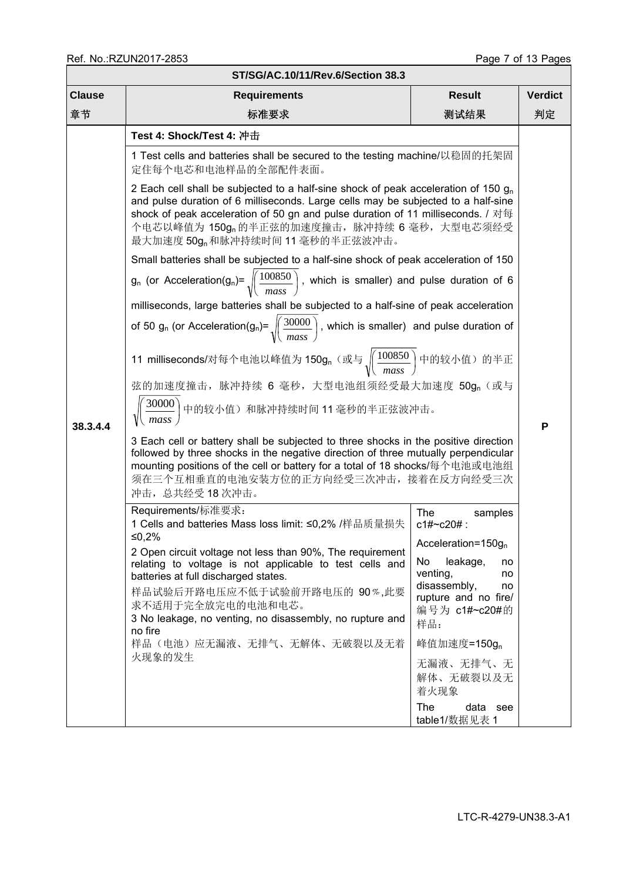| ST/SG/AC.10/11/Rev.6/Section 38.3 |                                                                                                                                                                                                                                                                                                                                                                                                                                                                                                                                                                                                                                                                                                                                                                                                                                                                                                                                                                                                                                                                                                        |                                                                                                              |    |  |  |  |  |  |  |  |
|-----------------------------------|--------------------------------------------------------------------------------------------------------------------------------------------------------------------------------------------------------------------------------------------------------------------------------------------------------------------------------------------------------------------------------------------------------------------------------------------------------------------------------------------------------------------------------------------------------------------------------------------------------------------------------------------------------------------------------------------------------------------------------------------------------------------------------------------------------------------------------------------------------------------------------------------------------------------------------------------------------------------------------------------------------------------------------------------------------------------------------------------------------|--------------------------------------------------------------------------------------------------------------|----|--|--|--|--|--|--|--|
| <b>Clause</b>                     | <b>Result</b><br><b>Verdict</b><br><b>Requirements</b>                                                                                                                                                                                                                                                                                                                                                                                                                                                                                                                                                                                                                                                                                                                                                                                                                                                                                                                                                                                                                                                 |                                                                                                              |    |  |  |  |  |  |  |  |
| 章节                                | 标准要求                                                                                                                                                                                                                                                                                                                                                                                                                                                                                                                                                                                                                                                                                                                                                                                                                                                                                                                                                                                                                                                                                                   | 测试结果                                                                                                         | 判定 |  |  |  |  |  |  |  |
| 38.3.4.4                          | Test 4: Shock/Test 4: 冲击<br>1 Test cells and batteries shall be secured to the testing machine/以稳固的托架固<br>定住每个电芯和电池样品的全部配件表面。<br>2 Each cell shall be subjected to a half-sine shock of peak acceleration of 150 $g_n$<br>and pulse duration of 6 milliseconds. Large cells may be subjected to a half-sine<br>shock of peak acceleration of 50 gn and pulse duration of 11 milliseconds. / 对每<br>个电芯以峰值为 150g <sub>n</sub> 的半正弦的加速度撞击, 脉冲持续 6 毫秒, 大型电芯须经受<br>最大加速度 50g <sub>n</sub> 和脉冲持续时间 11 毫秒的半正弦波冲击。<br>Small batteries shall be subjected to a half-sine shock of peak acceleration of 150<br>$g_n$ (or Acceleration(g <sub>n</sub> )= $\sqrt{\frac{100850}{mass}}$ , which is smaller) and pulse duration of 6<br>milliseconds, large batteries shall be subjected to a half-sine of peak acceleration<br>of 50 g <sub>n</sub> (or Acceleration(g <sub>n</sub> )= $\sqrt{\left(\frac{30000}{mass}\right)}$ , which is smaller) and pulse duration of<br>11 milliseconds/对每个电池以峰值为 150g, (或与 $\sqrt{\left(\frac{100850}{mass}\right)}$ 中的较小值) 的半正<br>弦的加速度撞击, 脉冲持续 6 毫秒, 大型电池组须经受最大加速度 50gn (或与 |                                                                                                              |    |  |  |  |  |  |  |  |
|                                   | $\sqrt{\left(\frac{30000}{mass}\right)}$ 中的较小值)和脉冲持续时间 11毫秒的半正弦波冲击。<br>3 Each cell or battery shall be subjected to three shocks in the positive direction                                                                                                                                                                                                                                                                                                                                                                                                                                                                                                                                                                                                                                                                                                                                                                                                                                                                                                                                             |                                                                                                              |    |  |  |  |  |  |  |  |
|                                   | followed by three shocks in the negative direction of three mutually perpendicular<br>mounting positions of the cell or battery for a total of 18 shocks/每个电池或电池组<br>须在三个互相垂直的电池安装方位的正方向经受三次冲击,接着在反方向经受三次<br>冲击, 总共经受18次冲击。<br>Requirements/标准要求:<br>1 Cells and batteries Mass loss limit: ≤0,2% /样品质量损失<br>≤0.2%                                                                                                                                                                                                                                                                                                                                                                                                                                                                                                                                                                                                                                                                                                                                                                                     | The<br>samples<br>$c1\#c20\#$ :<br>Acceleration= $150g_n$                                                    |    |  |  |  |  |  |  |  |
|                                   | 2 Open circuit voltage not less than 90%, The requirement<br>relating to voltage is not applicable to test cells and<br>batteries at full discharged states.<br>样品试验后开路电压应不低于试验前开路电压的 90%,此要<br>求不适用于完全放完电的电池和电芯。<br>3 No leakage, no venting, no disassembly, no rupture and<br>no fire                                                                                                                                                                                                                                                                                                                                                                                                                                                                                                                                                                                                                                                                                                                                                                                                               | No<br>leakage,<br>no<br>venting,<br>no<br>disassembly,<br>no<br>rupture and no fire/<br>编号为 c1#~c20#的<br>样品: |    |  |  |  |  |  |  |  |
|                                   | 样品(电池)应无漏液、无排气、无解体、无破裂以及无着<br>火现象的发生                                                                                                                                                                                                                                                                                                                                                                                                                                                                                                                                                                                                                                                                                                                                                                                                                                                                                                                                                                                                                                                                   | 峰值加速度=150g <sub>n</sub><br>无漏液、无排气、无<br>解体、无破裂以及无<br>着火现象<br>The<br>data see<br>table1/数据见表 1                |    |  |  |  |  |  |  |  |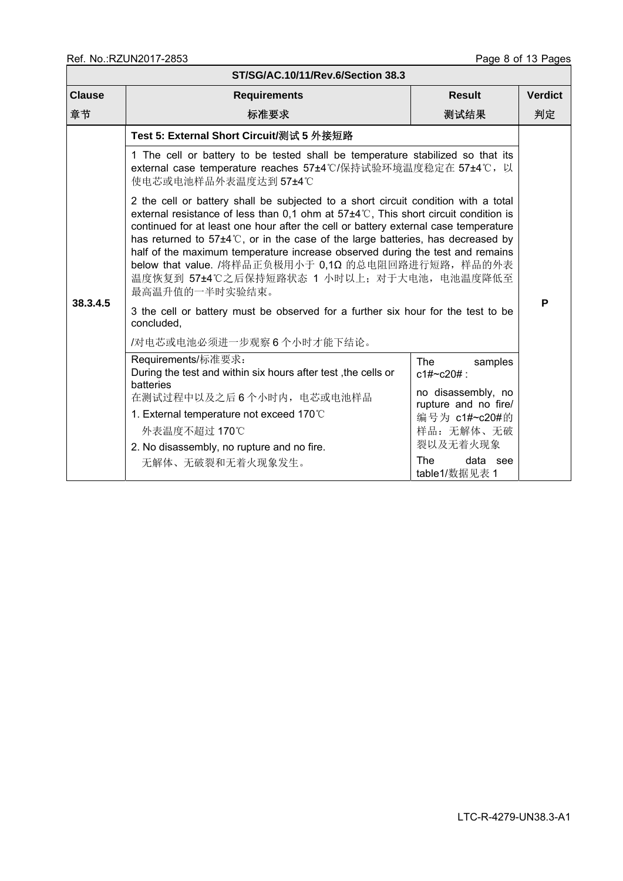| ST/SG/AC.10/11/Rev.6/Section 38.3 |                                                                                                                                                                                                                                                                                                                                                                                                                                                                                                                                                                                  |                                            |  |  |  |  |  |  |  |  |
|-----------------------------------|----------------------------------------------------------------------------------------------------------------------------------------------------------------------------------------------------------------------------------------------------------------------------------------------------------------------------------------------------------------------------------------------------------------------------------------------------------------------------------------------------------------------------------------------------------------------------------|--------------------------------------------|--|--|--|--|--|--|--|--|
| <b>Clause</b>                     | Result<br><b>Verdict</b><br><b>Requirements</b>                                                                                                                                                                                                                                                                                                                                                                                                                                                                                                                                  |                                            |  |  |  |  |  |  |  |  |
| 章节                                | 标准要求<br>测试结果                                                                                                                                                                                                                                                                                                                                                                                                                                                                                                                                                                     |                                            |  |  |  |  |  |  |  |  |
|                                   | Test 5: External Short Circuit/测试 5 外接短路                                                                                                                                                                                                                                                                                                                                                                                                                                                                                                                                         |                                            |  |  |  |  |  |  |  |  |
|                                   | 1 The cell or battery to be tested shall be temperature stabilized so that its<br>external case temperature reaches 57±4℃/保持试验环境温度稳定在 57±4℃, 以<br>使电芯或电池样品外表温度达到 57±4℃                                                                                                                                                                                                                                                                                                                                                                                                           |                                            |  |  |  |  |  |  |  |  |
|                                   | 2 the cell or battery shall be subjected to a short circuit condition with a total<br>external resistance of less than 0,1 ohm at $57\pm4\degree$ C, This short circuit condition is<br>continued for at least one hour after the cell or battery external case temperature<br>has returned to $57\pm4\degree$ C, or in the case of the large batteries, has decreased by<br>half of the maximum temperature increase observed during the test and remains<br>below that value. /将样品正负极用小于 0,1Ω 的总电阻回路进行短路, 样品的外表<br>温度恢复到 57±4℃之后保持短路状态 1 小时以上; 对于大电池,电池温度降低至<br>最高温升值的一半时实验结束。 |                                            |  |  |  |  |  |  |  |  |
| 38.3.4.5                          | 3 the cell or battery must be observed for a further six hour for the test to be<br>concluded,                                                                                                                                                                                                                                                                                                                                                                                                                                                                                   |                                            |  |  |  |  |  |  |  |  |
|                                   | /对电芯或电池必须进一步观察6个小时才能下结论。                                                                                                                                                                                                                                                                                                                                                                                                                                                                                                                                                         |                                            |  |  |  |  |  |  |  |  |
|                                   | Requirements/标准要求:<br>During the test and within six hours after test, the cells or<br>batteries                                                                                                                                                                                                                                                                                                                                                                                                                                                                                 | <b>The</b><br>samples<br>$c1\#c20\#$ :     |  |  |  |  |  |  |  |  |
|                                   | 在测试过程中以及之后6个小时内, 电芯或电池样品                                                                                                                                                                                                                                                                                                                                                                                                                                                                                                                                                         | no disassembly, no<br>rupture and no fire/ |  |  |  |  |  |  |  |  |
|                                   | 1. External temperature not exceed 170°C                                                                                                                                                                                                                                                                                                                                                                                                                                                                                                                                         | 编号为 c1#~c20#的                              |  |  |  |  |  |  |  |  |
|                                   | 外表温度不超过 170℃                                                                                                                                                                                                                                                                                                                                                                                                                                                                                                                                                                     | 样品: 无解体、无破                                 |  |  |  |  |  |  |  |  |
|                                   | 2. No disassembly, no rupture and no fire.                                                                                                                                                                                                                                                                                                                                                                                                                                                                                                                                       | 裂以及无着火现象                                   |  |  |  |  |  |  |  |  |
|                                   | 无解体、无破裂和无着火现象发生。                                                                                                                                                                                                                                                                                                                                                                                                                                                                                                                                                                 | <b>The</b><br>data see<br>table1/数据见表 1    |  |  |  |  |  |  |  |  |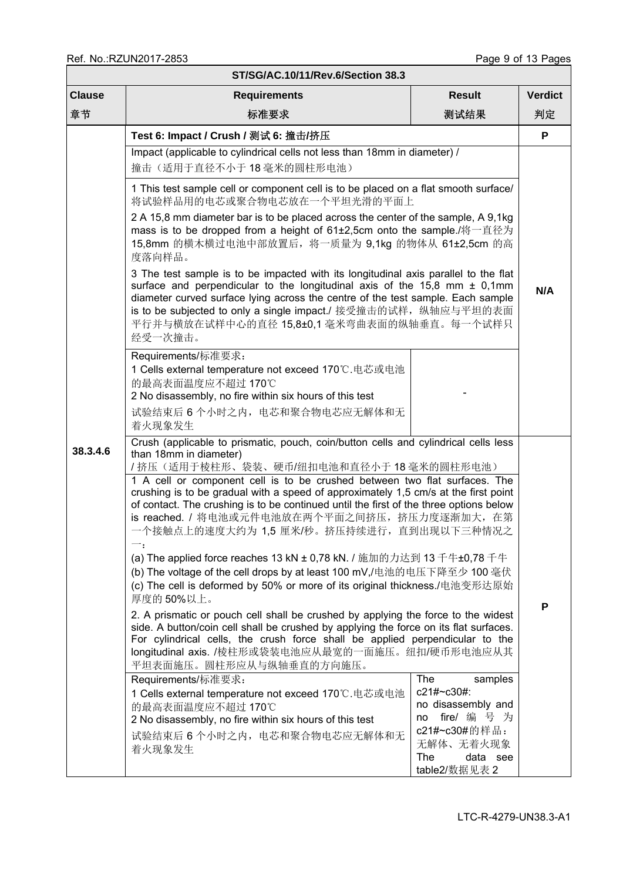| ST/SG/AC.10/11/Rev.6/Section 38.3 |                                                                                                                                                                                                                                                                                                                                                                                         |                                                                                                                                                                                                                                                                                                                                                                          |                |  |  |  |  |  |  |
|-----------------------------------|-----------------------------------------------------------------------------------------------------------------------------------------------------------------------------------------------------------------------------------------------------------------------------------------------------------------------------------------------------------------------------------------|--------------------------------------------------------------------------------------------------------------------------------------------------------------------------------------------------------------------------------------------------------------------------------------------------------------------------------------------------------------------------|----------------|--|--|--|--|--|--|
| <b>Clause</b>                     | <b>Requirements</b>                                                                                                                                                                                                                                                                                                                                                                     | <b>Result</b>                                                                                                                                                                                                                                                                                                                                                            | <b>Verdict</b> |  |  |  |  |  |  |
| 章节                                | 标准要求<br>测试结果                                                                                                                                                                                                                                                                                                                                                                            |                                                                                                                                                                                                                                                                                                                                                                          |                |  |  |  |  |  |  |
|                                   | Test 6: Impact / Crush / 测试 6: 撞击/挤压                                                                                                                                                                                                                                                                                                                                                    |                                                                                                                                                                                                                                                                                                                                                                          | P              |  |  |  |  |  |  |
|                                   | Impact (applicable to cylindrical cells not less than 18mm in diameter) /<br>撞击(适用于直径不小于18毫米的圆柱形电池)                                                                                                                                                                                                                                                                                     |                                                                                                                                                                                                                                                                                                                                                                          |                |  |  |  |  |  |  |
|                                   | 1 This test sample cell or component cell is to be placed on a flat smooth surface/<br>将试验样品用的电芯或聚合物电芯放在一个平坦光滑的平面上                                                                                                                                                                                                                                                                      |                                                                                                                                                                                                                                                                                                                                                                          |                |  |  |  |  |  |  |
|                                   | 2 A 15,8 mm diameter bar is to be placed across the center of the sample, A 9,1kg<br>mass is to be dropped from a height of 61±2,5cm onto the sample./将一直径为<br>15,8mm 的横木横过电池中部放置后, 将一质量为 9,1kg 的物体从 61±2,5cm 的高<br>度落向样品。                                                                                                                                                              |                                                                                                                                                                                                                                                                                                                                                                          |                |  |  |  |  |  |  |
|                                   | 经受一次撞击。                                                                                                                                                                                                                                                                                                                                                                                 | 3 The test sample is to be impacted with its longitudinal axis parallel to the flat<br>surface and perpendicular to the longitudinal axis of the 15,8 mm $\pm$ 0,1mm<br>diameter curved surface lying across the centre of the test sample. Each sample<br>is to be subjected to only a single impact./ 接受撞击的试样, 纵轴应与平坦的表面<br>平行并与横放在试样中心的直径 15,8±0,1 毫米弯曲表面的纵轴垂直。每一个试样只 |                |  |  |  |  |  |  |
|                                   | Requirements/标准要求:<br>1 Cells external temperature not exceed 170℃.电芯或电池<br>的最高表面温度应不超过 170℃<br>2 No disassembly, no fire within six hours of this test                                                                                                                                                                                                                                 |                                                                                                                                                                                                                                                                                                                                                                          |                |  |  |  |  |  |  |
|                                   | 试验结束后 6 个小时之内, 电芯和聚合物电芯应无解体和无<br>着火现象发生                                                                                                                                                                                                                                                                                                                                                 |                                                                                                                                                                                                                                                                                                                                                                          |                |  |  |  |  |  |  |
| 38.3.4.6                          | Crush (applicable to prismatic, pouch, coin/button cells and cylindrical cells less<br>than 18mm in diameter)<br>/ 挤压(适用于棱柱形、袋装、硬币/纽扣电池和直径小于18毫米的圆柱形电池)                                                                                                                                                                                                                                 |                                                                                                                                                                                                                                                                                                                                                                          |                |  |  |  |  |  |  |
|                                   | 1 A cell or component cell is to be crushed between two flat surfaces. The<br>crushing is to be gradual with a speed of approximately 1,5 cm/s at the first point<br>of contact. The crushing is to be continued until the first of the three options below<br>is reached. / 将电池或元件电池放在两个平面之间挤压, 挤压力度逐渐加大, 在第<br>一个接触点上的速度大约为 1,5 厘米/秒。挤压持续进行,直到出现以下三种情况之<br>$\overline{\phantom{a}}$ : |                                                                                                                                                                                                                                                                                                                                                                          |                |  |  |  |  |  |  |
|                                   | (a) The applied force reaches 13 kN ± 0,78 kN. / 施加的力达到 13 千牛±0,78 千牛<br>(b) The voltage of the cell drops by at least 100 mV,/电池的电压下降至少 100 毫伏<br>(c) The cell is deformed by 50% or more of its original thickness./电池变形达原始<br>厚度的50%以上。                                                                                                                                              |                                                                                                                                                                                                                                                                                                                                                                          |                |  |  |  |  |  |  |
|                                   | 2. A prismatic or pouch cell shall be crushed by applying the force to the widest<br>side. A button/coin cell shall be crushed by applying the force on its flat surfaces.<br>For cylindrical cells, the crush force shall be applied perpendicular to the<br>longitudinal axis. /棱柱形或袋装电池应从最宽的一面施压。纽扣/硬币形电池应从其<br>平坦表面施压。圆柱形应从与纵轴垂直的方向施压。                                              |                                                                                                                                                                                                                                                                                                                                                                          |                |  |  |  |  |  |  |
|                                   | Requirements/标准要求:<br>1 Cells external temperature not exceed 170℃.电芯或电池<br>的最高表面温度应不超过 170℃<br>2 No disassembly, no fire within six hours of this test                                                                                                                                                                                                                                 | The<br>samples<br>c21#~c30#:<br>no disassembly and<br>fire/ 编 号 为<br>no<br>c21#~c30#的样品:                                                                                                                                                                                                                                                                                 |                |  |  |  |  |  |  |
|                                   | 试验结束后 6 个小时之内,电芯和聚合物电芯应无解体和无<br>着火现象发生                                                                                                                                                                                                                                                                                                                                                  | 无解体、无着火现象<br>The<br>data see<br>table2/数据见表 2                                                                                                                                                                                                                                                                                                                            |                |  |  |  |  |  |  |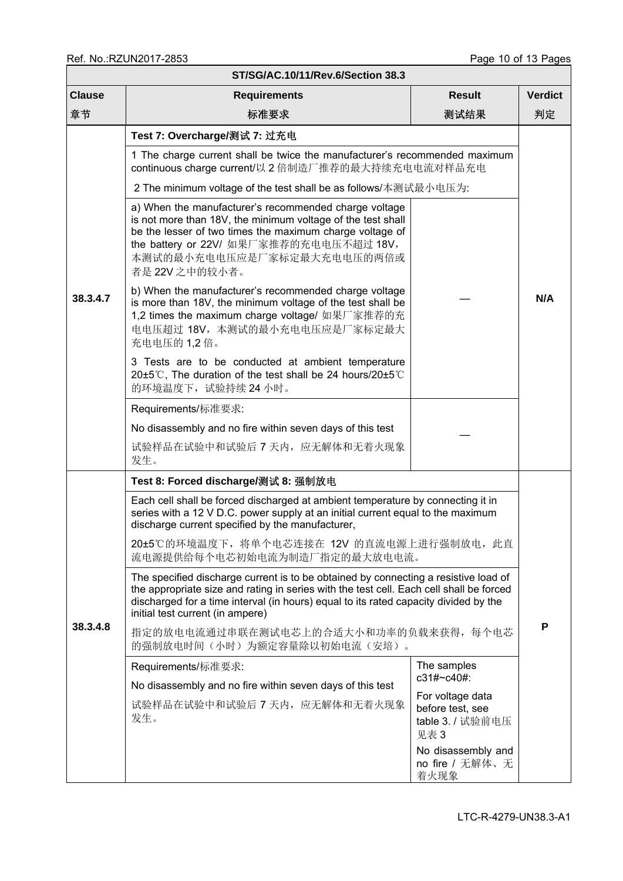| ST/SG/AC.10/11/Rev.6/Section 38.3 |                                                                                                                                                                                                                                                                                                            |                                               |                |  |  |  |  |  |
|-----------------------------------|------------------------------------------------------------------------------------------------------------------------------------------------------------------------------------------------------------------------------------------------------------------------------------------------------------|-----------------------------------------------|----------------|--|--|--|--|--|
| <b>Clause</b>                     | <b>Requirements</b>                                                                                                                                                                                                                                                                                        | <b>Result</b>                                 | <b>Verdict</b> |  |  |  |  |  |
| 章节                                | 标准要求                                                                                                                                                                                                                                                                                                       | 测试结果                                          | 判定             |  |  |  |  |  |
| 38.3.4.7                          | Test 7: Overcharge/测试 7: 过充电<br>1 The charge current shall be twice the manufacturer's recommended maximum<br>continuous charge current/以 2 倍制造厂推荐的最大持续充电电流对样品充电<br>2 The minimum voltage of the test shall be as follows/本测试最小电压为:                                                                        |                                               |                |  |  |  |  |  |
|                                   | a) When the manufacturer's recommended charge voltage<br>is not more than 18V, the minimum voltage of the test shall<br>be the lesser of two times the maximum charge voltage of<br>the battery or 22V/ 如果厂家推荐的充电电压不超过 18V,<br>本测试的最小充电电压应是厂家标定最大充电电压的两倍或<br>者是 22V 之中的较小者。                                |                                               |                |  |  |  |  |  |
|                                   | b) When the manufacturer's recommended charge voltage<br>is more than 18V, the minimum voltage of the test shall be<br>1,2 times the maximum charge voltage/ 如果厂家推荐的充<br>电电压超过 18V, 本测试的最小充电电压应是厂家标定最大<br>充电电压的 1,2 倍。                                                                                     |                                               | N/A            |  |  |  |  |  |
|                                   | 3 Tests are to be conducted at ambient temperature<br>20±5°C, The duration of the test shall be 24 hours/20±5°C<br>的环境温度下,试验持续24小时。                                                                                                                                                                        |                                               |                |  |  |  |  |  |
|                                   | Requirements/标准要求:                                                                                                                                                                                                                                                                                         |                                               |                |  |  |  |  |  |
|                                   | No disassembly and no fire within seven days of this test                                                                                                                                                                                                                                                  |                                               |                |  |  |  |  |  |
|                                   | 试验样品在试验中和试验后 7 天内, 应无解体和无着火现象<br>发生。                                                                                                                                                                                                                                                                       |                                               |                |  |  |  |  |  |
|                                   | Test 8: Forced discharge/测试 8: 强制放电                                                                                                                                                                                                                                                                        |                                               |                |  |  |  |  |  |
|                                   | Each cell shall be forced discharged at ambient temperature by connecting it in<br>series with a 12 V D.C. power supply at an initial current equal to the maximum<br>discharge current specified by the manufacturer,                                                                                     |                                               |                |  |  |  |  |  |
|                                   | 20±5℃的环境温度下, 将单个电芯连接在 12V 的直流电源上进行强制放电, 此直<br>流电源提供给每个电芯初始电流为制造厂指定的最大放电电流。                                                                                                                                                                                                                                 |                                               |                |  |  |  |  |  |
|                                   | The specified discharge current is to be obtained by connecting a resistive load of<br>the appropriate size and rating in series with the test cell. Each cell shall be forced<br>discharged for a time interval (in hours) equal to its rated capacity divided by the<br>initial test current (in ampere) |                                               |                |  |  |  |  |  |
| 38.3.4.8                          | 指定的放电电流通过串联在测试电芯上的合适大小和功率的负载来获得, 每个电芯<br>的强制放电时间(小时)为额定容量除以初始电流(安培)。                                                                                                                                                                                                                                       |                                               | P              |  |  |  |  |  |
|                                   | Requirements/标准要求:                                                                                                                                                                                                                                                                                         | The samples<br>c31#~c40#:                     |                |  |  |  |  |  |
|                                   | No disassembly and no fire within seven days of this test                                                                                                                                                                                                                                                  |                                               |                |  |  |  |  |  |
|                                   | For voltage data<br>试验样品在试验中和试验后 7 天内, 应无解体和无着火现象<br>before test, see<br>发生。<br>table 3. / 试验前电压<br>见表 3                                                                                                                                                                                                   |                                               |                |  |  |  |  |  |
|                                   |                                                                                                                                                                                                                                                                                                            | No disassembly and<br>no fire / 无解体、无<br>着火现象 |                |  |  |  |  |  |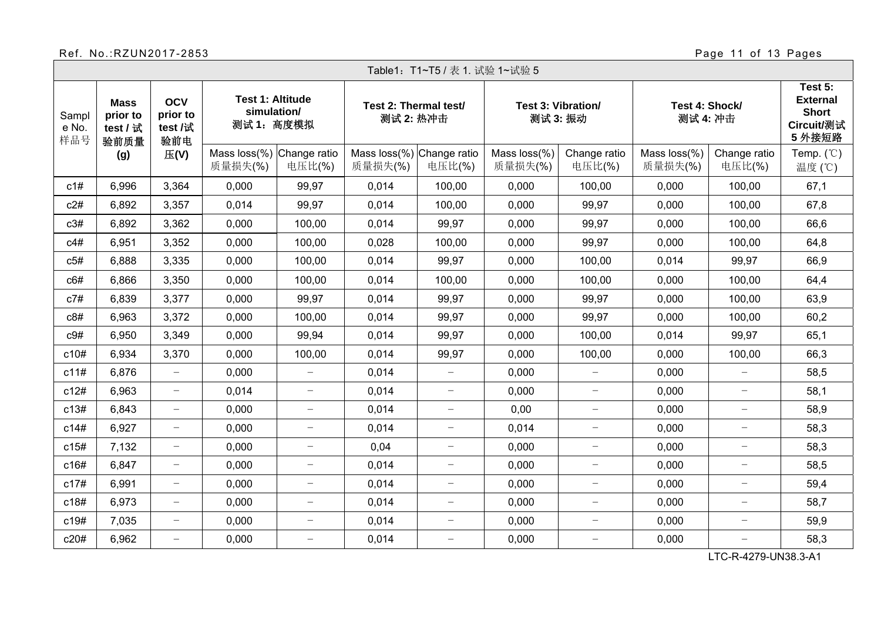# Ref. No.:RZUN2017-2853<br>External page 11 of 13 Pages

┑

|                                                              | Table1: T1~T5 / 表 1. 试验 1~试验 5 |                                   |                                                            |                          |                                      |                          |                                |                          |                            |                          |                                                                    |  |
|--------------------------------------------------------------|--------------------------------|-----------------------------------|------------------------------------------------------------|--------------------------|--------------------------------------|--------------------------|--------------------------------|--------------------------|----------------------------|--------------------------|--------------------------------------------------------------------|--|
| <b>Mass</b><br>prior to<br>Sampl<br>e No.<br>test / 试<br>样品号 | 验前质量                           | <b>OCV</b><br>prior to<br>test /试 | <b>Test 1: Altitude</b><br>simulation/<br>测试1: 高度模拟<br>验前电 |                          | Test 2: Thermal test/<br>测试 2: 热冲击   |                          | Test 3: Vibration/<br>测试 3: 振动 |                          | Test 4: Shock/<br>测试 4: 冲击 |                          | Test 5:<br><b>External</b><br><b>Short</b><br>Circuit/测试<br>5 外接短路 |  |
|                                                              | (g)                            | E(V)                              | Mass loss(%) Change ratio<br>质量损失(%)                       | 电压比(%)                   | Mass loss(%) Change ratio<br>质量损失(%) | 电压比(%)                   | Mass loss(%)<br>质量损失(%)        | Change ratio<br>电压比(%)   | Mass loss(%)<br>质量损失(%)    | Change ratio<br>电压比(%)   | Temp. $(°C)$<br>温度 (℃)                                             |  |
| c1#                                                          | 6,996                          | 3,364                             | 0,000                                                      | 99,97                    | 0,014                                | 100,00                   | 0,000                          | 100,00                   | 0,000                      | 100,00                   | 67,1                                                               |  |
| c2#                                                          | 6,892                          | 3,357                             | 0,014                                                      | 99,97                    | 0,014                                | 100,00                   | 0,000                          | 99,97                    | 0,000                      | 100,00                   | 67,8                                                               |  |
| c3#                                                          | 6,892                          | 3,362                             | 0,000                                                      | 100,00                   | 0,014                                | 99,97                    | 0,000                          | 99,97                    | 0,000                      | 100,00                   | 66,6                                                               |  |
| c4#                                                          | 6,951                          | 3,352                             | 0,000                                                      | 100,00                   | 0,028                                | 100,00                   | 0,000                          | 99,97                    | 0,000                      | 100,00                   | 64,8                                                               |  |
| c5#                                                          | 6,888                          | 3,335                             | 0,000                                                      | 100,00                   | 0,014                                | 99,97                    | 0,000                          | 100,00                   | 0,014                      | 99,97                    | 66,9                                                               |  |
| c6#                                                          | 6,866                          | 3,350                             | 0,000                                                      | 100,00                   | 0,014                                | 100,00                   | 0,000                          | 100,00                   | 0,000                      | 100,00                   | 64,4                                                               |  |
| c7#                                                          | 6,839                          | 3,377                             | 0,000                                                      | 99,97                    | 0,014                                | 99,97                    | 0,000                          | 99,97                    | 0,000                      | 100,00                   | 63,9                                                               |  |
| c8#                                                          | 6,963                          | 3,372                             | 0,000                                                      | 100,00                   | 0,014                                | 99,97                    | 0,000                          | 99,97                    | 0,000                      | 100,00                   | 60,2                                                               |  |
| c9#                                                          | 6,950                          | 3,349                             | 0,000                                                      | 99,94                    | 0,014                                | 99,97                    | 0,000                          | 100,00                   | 0,014                      | 99,97                    | 65,1                                                               |  |
| c10#                                                         | 6,934                          | 3,370                             | 0,000                                                      | 100,00                   | 0.014                                | 99,97                    | 0,000                          | 100,00                   | 0,000                      | 100,00                   | 66,3                                                               |  |
| c11#                                                         | 6,876                          | $\qquad \qquad -$                 | 0,000                                                      | $\overline{\phantom{0}}$ | 0,014                                | $\overline{\phantom{0}}$ | 0,000                          | $\overline{\phantom{m}}$ | 0,000                      | $\overline{\phantom{0}}$ | 58,5                                                               |  |
| c12#                                                         | 6,963                          | $\qquad \qquad -$                 | 0,014                                                      | $\overline{\phantom{0}}$ | 0,014                                | $\overline{\phantom{0}}$ | 0,000                          | $\overline{\phantom{m}}$ | 0,000                      | $\overline{\phantom{m}}$ | 58,1                                                               |  |
| c13#                                                         | 6,843                          | $\overline{\phantom{0}}$          | 0,000                                                      | $\overline{\phantom{0}}$ | 0,014                                | $\overline{\phantom{0}}$ | 0,00                           | $\overline{\phantom{m}}$ | 0,000                      | $\qquad \qquad -$        | 58,9                                                               |  |
| c14#                                                         | 6,927                          | $\equiv$                          | 0.000                                                      | $\overline{\phantom{0}}$ | 0,014                                | $\overline{\phantom{0}}$ | 0,014                          | $\overline{\phantom{m}}$ | 0,000                      | $\overline{\phantom{m}}$ | 58,3                                                               |  |
| c15#                                                         | 7,132                          | $\qquad \qquad -$                 | 0,000                                                      | $\overline{\phantom{a}}$ | 0,04                                 | $\overline{\phantom{0}}$ | 0,000                          | $\overline{\phantom{m}}$ | 0,000                      | $\qquad \qquad -$        | 58,3                                                               |  |
| c16#                                                         | 6,847                          | $\qquad \qquad -$                 | 0,000                                                      | $\overline{\phantom{0}}$ | 0,014                                | $\overline{\phantom{0}}$ | 0,000                          | $\overline{\phantom{m}}$ | 0,000                      | $\overline{\phantom{0}}$ | 58,5                                                               |  |
| c17#                                                         | 6,991                          | $\overline{\phantom{m}}$          | 0,000                                                      | $\overline{\phantom{0}}$ | 0,014                                | $\overline{\phantom{0}}$ | 0,000                          | $\overline{\phantom{m}}$ | 0,000                      | $\overline{\phantom{m}}$ | 59,4                                                               |  |
| c18#                                                         | 6,973                          | $\overline{\phantom{m}}$          | 0,000                                                      | $\overline{\phantom{0}}$ | 0,014                                | $\overline{\phantom{0}}$ | 0,000                          | $\overline{\phantom{m}}$ | 0,000                      | $\overline{\phantom{0}}$ | 58,7                                                               |  |
| c19#                                                         | 7,035                          | $\overline{\phantom{0}}$          | 0,000                                                      | $\overline{\phantom{0}}$ | 0,014                                | $\overline{\phantom{m}}$ | 0,000                          | $\overline{\phantom{m}}$ | 0,000                      | $\overline{\phantom{m}}$ | 59,9                                                               |  |
| c20#                                                         | 6,962                          | $\overline{\phantom{0}}$          | 0,000                                                      | $\overline{\phantom{0}}$ | 0,014                                | $\overline{\phantom{m}}$ | 0,000                          | $\overline{\phantom{m}}$ | 0,000                      | $\overline{\phantom{0}}$ | 58,3                                                               |  |

LTC-R-4279-UN38.3-A1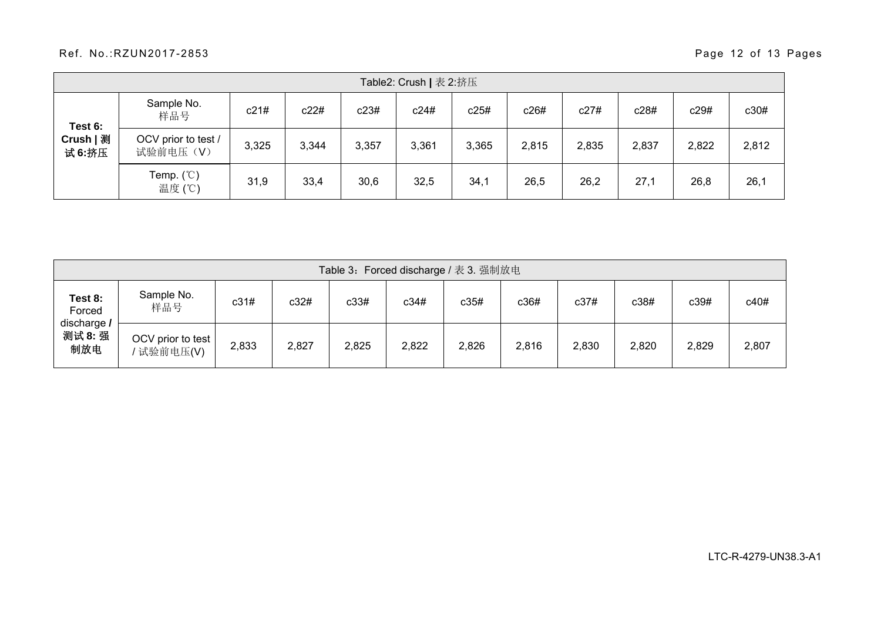#### Ref. No.:RZUN2017-2853 Page 12 of 13 Pages

| Table2: Crush   表 2:挤压         |                                 |       |       |       |       |       |       |       |       |       |       |
|--------------------------------|---------------------------------|-------|-------|-------|-------|-------|-------|-------|-------|-------|-------|
| Test 6:<br>Crush   测<br>试 6:挤压 | Sample No.<br>样品号               | c21#  | c22#  | c23#  | c24#  | c25#  | c26#  | c27#  | c28#  | c29#  | c30#  |
|                                | OCV prior to test /<br>试验前电压(V) | 3,325 | 3,344 | 3,357 | 3,361 | 3,365 | 2,815 | 2,835 | 2,837 | 2,822 | 2,812 |
|                                | Temp. $(\mathcal{C})$<br>温度 (℃) | 31,9  | 33,4  | 30,6  | 32,5  | 34,1  | 26,5  | 26,2  | 27,1  | 26,8  | 26,1  |

| Table 3: Forced discharge / 表 3. 强制放电 |                                 |       |       |       |       |       |       |       |       |       |       |
|---------------------------------------|---------------------------------|-------|-------|-------|-------|-------|-------|-------|-------|-------|-------|
| Test 8:<br>Forced                     | Sample No.<br>样品号               | c31#  | c32#  | c33#  | c34#  | c35#  | c36#  | c37#  | c38#  | c39#  | c40#  |
| discharge /<br>测试 8: 强<br>制放电         | OCV prior to test<br>' 试验前电压(V) | 2,833 | 2,827 | 2,825 | 2,822 | 2,826 | 2,816 | 2,830 | 2,820 | 2,829 | 2,807 |